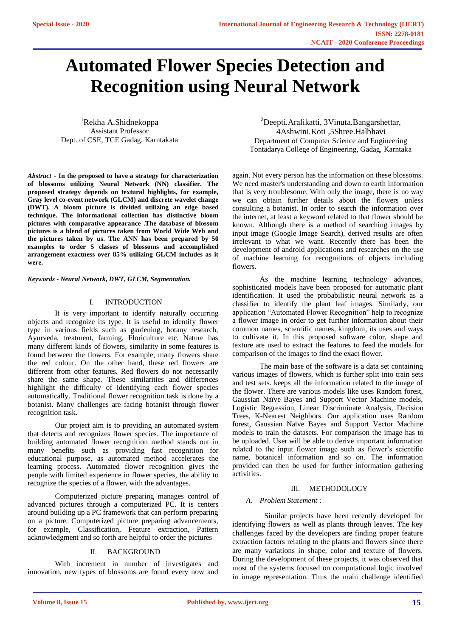# **Automated Flower Species Detection and Recognition using Neural Network**

<sup>1</sup>Rekha A.Shidnekoppa Assistant Professor Dept. of CSE, TCE Gadag. Karntakata

*Abstract* **- In the proposed to have a strategy for characterization of blossoms utilizing Neural Network (NN) classifier. The proposed strategy depends on textural highlights, for example, Gray level co-event network (GLCM) and discrete wavelet change (DWT). A bloom picture is divided utilizing an edge based technique. The informational collection has distinctive bloom pictures with comparative appearance .The database of blossom pictures is a blend of pictures taken from World Wide Web and the pictures taken by us. The ANN has been prepared by 50 examples to order 5 classes of blossoms and accomplished arrangement exactness over 85% utilizing GLCM includes as it were.**

*Keywords - Neural Network, DWT, GLCM, Segmentation.*

### I. INTRODUCTION

It is very important to identify naturally occurring objects and recognize its type. It is useful to identify flower type in various fields such as gardening, botany research, Ayurveda, treatment, farming, Floriculture etc. Nature has many different kinds of flowers, similarity in some features is found between the flowers. For example, many flowers share the red colour. On the other hand, these red flowers are different from other features. Red flowers do not necessarily share the same shape. These similarities and differences highlight the difficulty of identifying each flower species automatically. Traditional flower recognition task is done by a botanist. Many challenges are facing botanist through flower recognition task.

Our project aim is to providing an automated system that detects and recognizes flower species. The importance of building automated flower recognition method stands out in many benefits such as providing fast recognition for educational purpose, as automated method accelerates the learning process. Automated flower recognition gives the people with limited experience in flower species, the ability to recognize the species of a flower, with the advantages.

Computerized picture preparing manages control of advanced pictures through a computerized PC. It is centers around building up a PC framework that can perform preparing on a picture. Computerized picture preparing advancements, for example, Classification, Feature extraction, Pattern acknowledgment and so forth are helpful to order the pictures

# II. BACKGROUND

With increment in number of investigates and innovation, new types of blossoms are found every now and

<sup>2</sup>Deepti.Aralikatti, 3Vinuta.Bangarshettar, 4Ashwini.Koti ,5Shree.Halbhavi Department of Computer Science and Engineering Tontadarya College of Engineering, Gadag, Karntaka

again. Not every person has the information on these blossoms. We need master's understanding and down to earth information that is very troublesome. With only the image, there is no way we can obtain further details about the flowers unless consulting a botanist. In order to search the information over the internet, at least a keyword related to that flower should be known. Although there is a method of searching images by input image (Google Image Search), derived results are often irrelevant to what we want. Recently there has been the development of android applications and researches on the use of machine learning for recognitions of objects including flowers.

As the machine learning technology advances, sophisticated models have been proposed for automatic plant identification. It used the probabilistic neural network as a classifier to identify the plant leaf images. Similarly, our application "Automated Flower Recognition" help to recognize a flower image in order to get further information about their common names, scientific names, kingdom, its uses and ways to cultivate it. In this proposed software color, shape and texture are used to extract the features to feed the models for comparison of the images to find the exact flower.

The main base of the software is a data set containing various images of flowers, which is further split into train sets and test sets. keeps all the information related to the image of the flower. There are various models like uses Random forest, Gaussian Naïve Bayes and Support Vector Machine models, Logistic Regression, Linear Discriminate Analysis, Decision Trees, K-Nearest Neighbors. Our application uses Random forest, Gaussian Naïve Bayes and Support Vector Machine models to train the datasets. For comparison the image has to be uploaded. User will be able to derive important information related to the input flower image such as flower's scientific name, botanical information and so on. The information provided can then be used for further information gathering activities.

# III. METHODOLOGY

## *A. Problem Statement :*

 Similar projects have been recently developed for identifying flowers as well as plants through leaves. The key challenges faced by the developers are finding proper feature extraction factors relating to the plants and flowers since there are many variations in shape, color and texture of flowers. During the development of these projects, it was observed that most of the systems focused on computational logic involved in image representation. Thus the main challenge identified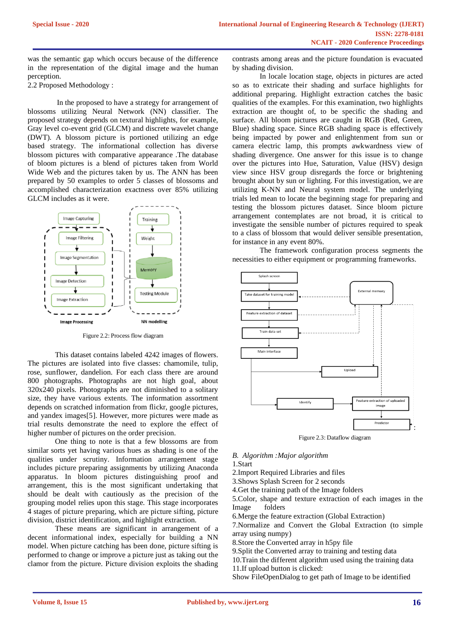was the semantic gap which occurs because of the difference in the representation of the digital image and the human perception.

2.2 Proposed Methodology :

In the proposed to have a strategy for arrangement of blossoms utilizing Neural Network (NN) classifier. The proposed strategy depends on textural highlights, for example, Gray level co-event grid (GLCM) and discrete wavelet change (DWT). A blossom picture is portioned utilizing an edge based strategy. The informational collection has diverse blossom pictures with comparative appearance .The database of bloom pictures is a blend of pictures taken from World Wide Web and the pictures taken by us. The ANN has been prepared by 50 examples to order 5 classes of blossoms and accomplished characterization exactness over 85% utilizing GLCM includes as it were.



Figure 2.2: Process flow diagram

This dataset contains labeled 4242 images of flowers. The pictures are isolated into five classes: chamomile, tulip, rose, sunflower, dandelion. For each class there are around 800 photographs. Photographs are not high goal, about 320x240 pixels. Photographs are not diminished to a solitary size, they have various extents. The information assortment depends on scratched information from flickr, google pictures, and yandex images[5]. However, more pictures were made as trial results demonstrate the need to explore the effect of higher number of pictures on the order precision.

One thing to note is that a few blossoms are from similar sorts yet having various hues as shading is one of the qualities under scrutiny. Information arrangement stage includes picture preparing assignments by utilizing Anaconda apparatus. In bloom pictures distinguishing proof and arrangement, this is the most significant undertaking that should be dealt with cautiously as the precision of the grouping model relies upon this stage. This stage incorporates 4 stages of picture preparing, which are picture sifting, picture division, district identification, and highlight extraction.

These means are significant in arrangement of a decent informational index, especially for building a NN model. When picture catching has been done, picture sifting is performed to change or improve a picture just as taking out the clamor from the picture. Picture division exploits the shading

contrasts among areas and the picture foundation is evacuated by shading division.

In locale location stage, objects in pictures are acted so as to extricate their shading and surface highlights for additional preparing. Highlight extraction catches the basic qualities of the examples. For this examination, two highlights extraction are thought of, to be specific the shading and surface. All bloom pictures are caught in RGB (Red, Green, Blue) shading space. Since RGB shading space is effectively being impacted by power and enlightenment from sun or camera electric lamp, this prompts awkwardness view of shading divergence. One answer for this issue is to change over the pictures into Hue, Saturation, Value (HSV) design view since HSV group disregards the force or brightening brought about by sun or lighting. For this investigation, we are utilizing K-NN and Neural system model. The underlying trials led mean to locate the beginning stage for preparing and testing the blossom pictures dataset. Since bloom picture arrangement contemplates are not broad, it is critical to investigate the sensible number of pictures required to speak to a class of blossom that would deliver sensible presentation, for instance in any event 80%.

The framework configuration process segments the necessities to either equipment or programming frameworks.



Figure 2.3: Dataflow diagram

# *B. Algorithm :Major algorithm*

1.Start

2.Import Required Libraries and files

3.Shows Splash Screen for 2 seconds

4.Get the training path of the Image folders

5.Color, shape and texture extraction of each images in the Image folders

6.Merge the feature extraction (Global Extraction)

7.Normalize and Convert the Global Extraction (to simple array using numpy)

8.Store the Converted array in h5py file

9.Split the Converted array to training and testing data

10.Train the different algorithm used using the training data

11.If upload button is clicked:

Show FileOpenDialog to get path of Image to be identified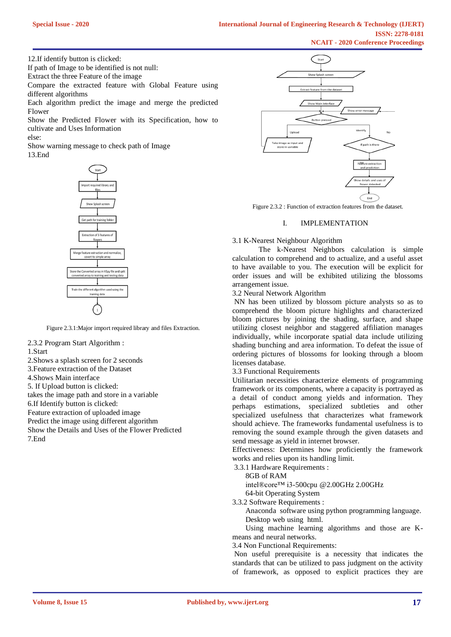12.If identify button is clicked:

If path of Image to be identified is not null:

Extract the three Feature of the image

Compare the extracted feature with Global Feature using different algorithms

Each algorithm predict the image and merge the predicted Flower

Show the Predicted Flower with its Specification, how to cultivate and Uses Information

else:

Show warning message to check path of Image 13.End



Figure 2.3.1:Major import required library and files Extraction.

2.3.2 Program Start Algorithm :

1.Start

2.Shows a splash screen for 2 seconds

3.Feature extraction of the Dataset

4.Shows Main interface

5. If Upload button is clicked:

takes the image path and store in a variable

6.If Identify button is clicked:

Feature extraction of uploaded image

Predict the image using different algorithm

Show the Details and Uses of the Flower Predicted 7.End



Figure 2.3.2 : Function of extraction features from the dataset.

#### I. IMPLEMENTATION

3.1 K-Nearest Neighbour Algorithm

 The k-Nearest Neighbors calculation is simple calculation to comprehend and to actualize, and a useful asset to have available to you. The execution will be explicit for order issues and will be exhibited utilizing the blossoms arrangement issue.

3.2 Neural Network Algorithm

NN has been utilized by blossom picture analysts so as to comprehend the bloom picture highlights and characterized bloom pictures by joining the shading, surface, and shape utilizing closest neighbor and staggered affiliation manages individually, while incorporate spatial data include utilizing shading bunching and area information. To defeat the issue of ordering pictures of blossoms for looking through a bloom licenses database.

3.3 Functional Requirements

Utilitarian necessities characterize elements of programming framework or its components, where a capacity is portrayed as a detail of conduct among yields and information. They perhaps estimations, specialized subtleties and other specialized usefulness that characterizes what framework should achieve. The frameworks fundamental usefulness is to removing the sound example through the given datasets and send message as yield in internet browser.

Effectiveness: Determines how proficiently the framework works and relies upon its handling limit.

3.3.1 Hardware Requirements :

8GB of RAM

intel®core™ i3-500cpu @2.00GHz 2.00GHz

64-bit Operating System

3.3.2 Software Requirements :

 Anaconda software using python programming language. Desktop web using html.

 Using machine learning algorithms and those are Kmeans and neural networks.

3.4 Non Functional Requirements:

Non useful prerequisite is a necessity that indicates the standards that can be utilized to pass judgment on the activity of framework, as opposed to explicit practices they are